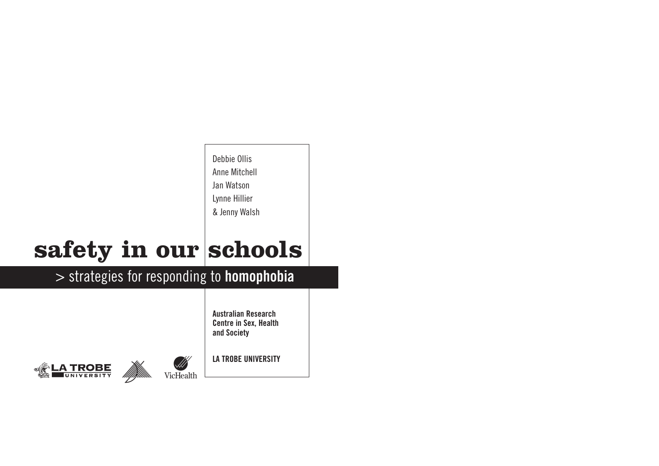Debbie Ollis Anne Mitchell Jan Watson Lynne Hillier & Jenny Walsh

# safety in our schools

### > strategies for responding to **homophobia**

**Australian Research Centre in Sex, Health and Society**





**LA TROBE UNIVERSITY**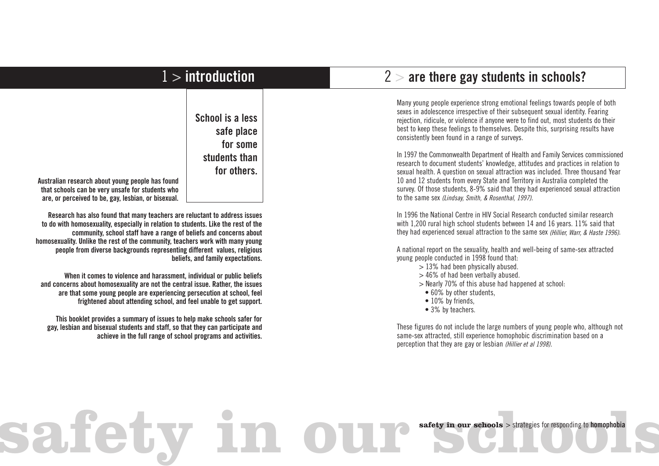| $1 >$ introduction                                                                                                                                                                                                                                                                                                                                                                                                                                                                                                                                                                                                                                                                                                                                                                                                                                                                                                                                                                                                                          |                                                                            | $2 >$ are there gay students in schools?                                                                                                                                                                                                                                                                                                                                                                                                                                                                                                                                                                                                                                                                                                                                                                                                                                                   |
|---------------------------------------------------------------------------------------------------------------------------------------------------------------------------------------------------------------------------------------------------------------------------------------------------------------------------------------------------------------------------------------------------------------------------------------------------------------------------------------------------------------------------------------------------------------------------------------------------------------------------------------------------------------------------------------------------------------------------------------------------------------------------------------------------------------------------------------------------------------------------------------------------------------------------------------------------------------------------------------------------------------------------------------------|----------------------------------------------------------------------------|--------------------------------------------------------------------------------------------------------------------------------------------------------------------------------------------------------------------------------------------------------------------------------------------------------------------------------------------------------------------------------------------------------------------------------------------------------------------------------------------------------------------------------------------------------------------------------------------------------------------------------------------------------------------------------------------------------------------------------------------------------------------------------------------------------------------------------------------------------------------------------------------|
| Australian research about young people has found<br>that schools can be very unsafe for students who                                                                                                                                                                                                                                                                                                                                                                                                                                                                                                                                                                                                                                                                                                                                                                                                                                                                                                                                        | School is a less<br>safe place<br>for some<br>students than<br>for others. | Many young people experience strong emotional feelings towards people of both<br>sexes in adolescence irrespective of their subsequent sexual identity. Fearing<br>rejection, ridicule, or violence if anyone were to find out, most students do their<br>best to keep these feelings to themselves. Despite this, surprising results have<br>consistently been found in a range of surveys.<br>In 1997 the Commonwealth Department of Health and Family Services commissioned<br>research to document students' knowledge, attitudes and practices in relation to<br>sexual health. A question on sexual attraction was included. Three thousand Year<br>10 and 12 students from every State and Territory in Australia completed the<br>survey. Of those students, 8-9% said that they had experienced sexual attraction                                                                 |
| are, or perceived to be, gay, lesbian, or bisexual.<br>Research has also found that many teachers are reluctant to address issues<br>to do with homosexuality, especially in relation to students. Like the rest of the<br>community, school staff have a range of beliefs and concerns about<br>homosexuality. Unlike the rest of the community, teachers work with many young<br>people from diverse backgrounds representing different values, religious<br>beliefs, and family expectations.<br>When it comes to violence and harassment, individual or public beliefs<br>and concerns about homosexuality are not the central issue. Rather, the issues<br>are that some young people are experiencing persecution at school, feel<br>frightened about attending school, and feel unable to get support.<br>This booklet provides a summary of issues to help make schools safer for<br>gay, lesbian and bisexual students and staff, so that they can participate and<br>achieve in the full range of school programs and activities. |                                                                            | to the same sex (Lindsay, Smith, & Rosenthal, 1997).<br>In 1996 the National Centre in HIV Social Research conducted similar research<br>with 1,200 rural high school students between 14 and 16 years. 11% said that<br>they had experienced sexual attraction to the same sex (Hillier, Warr, & Haste 1996).<br>A national report on the sexuality, health and well-being of same-sex attracted<br>young people conducted in 1998 found that:<br>$>$ 13% had been physically abused.<br>> 46% of had been verbally abused.<br>> Nearly 70% of this abuse had happened at school:<br>• 60% by other students,<br>• 10% by friends,<br>• 3% by teachers.<br>These figures do not include the large numbers of young people who, although not<br>same-sex attracted, still experience homophobic discrimination based on a<br>perception that they are gay or lesbian (Hillier et al 1998). |
|                                                                                                                                                                                                                                                                                                                                                                                                                                                                                                                                                                                                                                                                                                                                                                                                                                                                                                                                                                                                                                             |                                                                            | safety in our schools > strategies for responding to homophobia                                                                                                                                                                                                                                                                                                                                                                                                                                                                                                                                                                                                                                                                                                                                                                                                                            |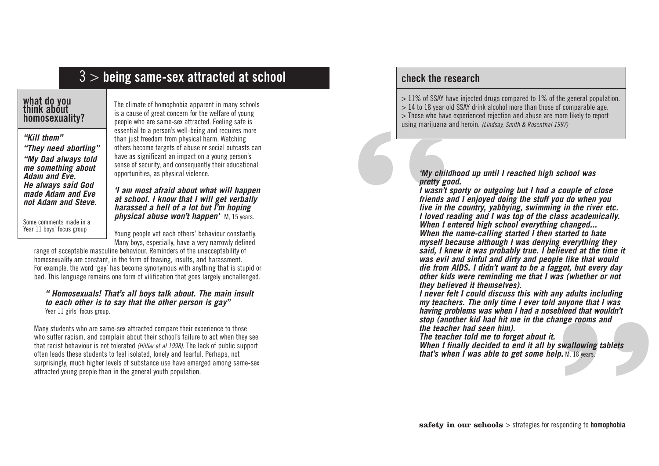### 3 > **being same-sex attracted at school**

#### **what do you think about homosexuality?**

*"Kill them" "They need aborting" "My Dad always told me something about Adam and Eve. He always said God made Adam and Eve not Adam and Steve.*

Some comments made in a Year 11 boys' focus group

The climate of homophobia apparent in many schools is a cause of great concern for the welfare of young people who are same-sex attracted. Feeling safe is essential to a person's well-being and requires more than just freedom from physical harm. Watching others become targets of abuse or social outcasts can have as significant an impact on a young person's sense of security, and consequently their educational opportunities, as physical violence.

*'I am most afraid about what will happen at school. I know that I will get verbally harassed a hell of a lot but I'm hoping physical abuse won't happen'* M, 15 years.

Young people vet each others' behaviour constantly. Many boys, especially, have a very narrowly defined

range of acceptable masculine behaviour. Reminders of the unacceptability of homosexuality are constant, in the form of teasing, insults, and harassment. For example, the word 'gay' has become synonymous with anything that is stupid or bad. This language remains one form of vilification that goes largely unchallenged.

#### *" Homosexuals! That's all boys talk about. The main insult to each other is to say that the other person is gay"*  Year 11 girls' focus group.

Many students who are same-sex attracted compare their experience to those who suffer racism, and complain about their school's failure to act when they see that racist behaviour is not tolerated *(Hillier et al 1998)*. The lack of public support often leads these students to feel isolated, lonely and fearful. Perhaps, not surprisingly, much higher levels of substance use have emerged among same-sex attracted young people than in the general youth population.

#### **check the research**

 $>$  11% of SSAY have injected drugs compared to 1% of the general population.  $> 14$  to 18 year old SSAY drink alcohol more than those of comparable age. > Those who have experienced rejection and abuse are more likely to report using marijuana and heroin. *(Lindsay, Smith & Rosenthal 1997)*

*'My childhood up until I reached high school was pretty good.* 

**"** everything they<br>wed at the time it<br>like that would<br>ot, but every day<br>(whether or not<br>adults including<br>myone that I was<br>leed that wouldn't<br>ge rooms and<br>wallowing tablets<br>M, 18 years. *I wasn't sporty or outgoing but I had a couple of close friends and I enjoyed doing the stuff you do when you live in the country, yabbying, swimming in the river etc. I loved reading and I was top of the class academically. When I entered high school everything changed... When the name-calling started I then started to hate myself because although I was denying everything they said, I knew it was probably true. I believed at the time it was evil and sinful and dirty and people like that would die from AIDS. I didn't want to be a faggot, but every day other kids were reminding me that I was (whether or not they believed it themselves).*

*I never felt I could discuss this with any adults including my teachers. The only time I ever told anyone that I was having problems was when I had a nosebleed that wouldn't stop (another kid had hit me in the change rooms and the teacher had seen him).*

*The teacher told me to forget about it. When I finally decided to end it all by swallowing tablets that's when I was able to get some help.* M, 18 years.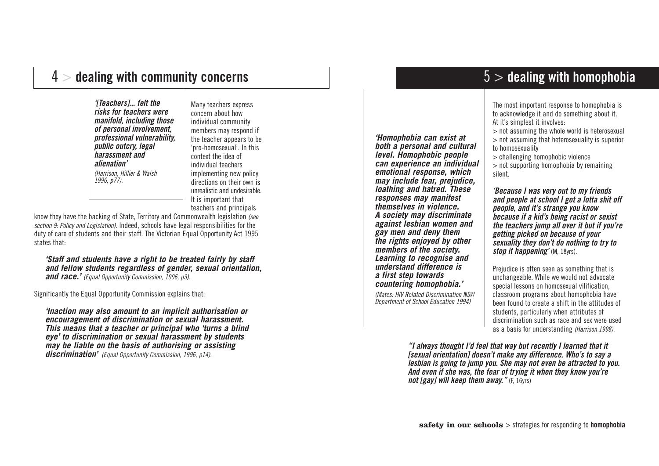### 4 > **dealing with community concerns**

*'[Teachers]... felt the risks for teachers were manifold, including those of personal involvement, professional vulnerability, public outcry, legal harassment and alienation' (Harrison, Hillier & Walsh 1996, p77).*

Many teachers express concern about how individual community members may respond if the teacher appears to be 'pro-homosexual'. In this context the idea of individual teachers implementing new policy directions on their own is unrealistic and undesirable. It is important that teachers and principals

know they have the backing of State, Territory and Commonwealth legislation *(see section 9: Policy and Legislation)*. Indeed, schools have legal responsibilities for the duty of care of students and their staff. The Victorian Equal Opportunity Act 1995 states that:

*'Staff and students have a right to be treated fairly by staff and fellow students regardless of gender, sexual orientation, and race.' (Equal Opportunity Commission, 1996, p3).*

Significantly the Equal Opportunity Commission explains that:

*'Inaction may also amount to an implicit authorisation or encouragement of discrimination or sexual harassment. This means that a teacher or principal who 'turns a blind eye' to discrimination or sexual harassment by students may be liable on the basis of authorising or assisting discrimination' (Equal Opportunity Commission, 1996, p14).*

*'Homophobia can exist at both a personal and cultural level. Homophobic people can experience an individual emotional response, which may include fear, prejudice, loathing and hatred. These responses may manifest themselves in violence. A society may discriminate against lesbian women and gay men and deny them the rights enjoyed by other members of the society. Learning to recognise and understand difference is a first step towards countering homophobia.'* 

*(Mates: HIV Related Discrimination NSW Department of School Education 1994)*

### 5 > **dealing with homophobia**

The most important response to homophobia is to acknowledge it and do something about it. At it's simplest it involves:

> not assuming the whole world is heterosexual

> not assuming that heterosexuality is superior to homosexuality

> challenging homophobic violence

> not supporting homophobia by remaining silent.

*'Because I was very out to my friends and people at school I got a lotta shit off people, and it's strange you know because if a kid's being racist or sexist the teachers jump all over it but if you're getting picked on because of your sexuality they don't do nothing to try to stop it happening'* (M, 18yrs).

Prejudice is often seen as something that is unchangeable. While we would not advocate special lessons on homosexual vilification, classroom programs about homophobia have been found to create a shift in the attitudes of students, particularly when attributes of discrimination such as race and sex were used as a basis for understanding *(Harrison 1998).*

*"I always thought I'd feel that way but recently I learned that it [sexual orientation] doesn't make any difference. Who's to say a lesbian is going to jump you. She may not even be attracted to you. And even if she was, the fear of trying it when they know you're not [gay] will keep them away."* (F, 16yrs)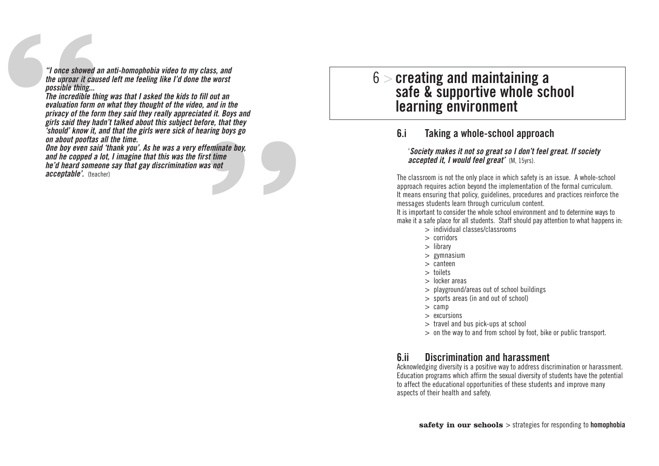*"I once showed an anti-homophobia video to my class, and the uproar it caused left me feeling like I'd done the worst possible thing...* 

ss, and<br>out an<br>out an<br>md in the<br>it. Boys and<br>e, that they<br>ing boys go<br>minate boy,<br>time<br>not "I once showed a<br>the uproar it cause<br>possible thing...<br>The incredible thin<br>evaluation form of<br>privacy of the for<br>girls said they ha<br>"should" know it, is on about pooftas<br>One boy even said<br>and he copped a<br>he'd heard somed<br>a *The incredible thing was that I asked the kids to fill out an evaluation form on what they thought of the video, and in the privacy of the form they said they really appreciated it. Boys and girls said they hadn't talked about this subject before, that they 'should' know it, and that the girls were sick of hearing boys go on about pooftas all the time.* 

*One boy even said 'thank you'. As he was a very effeminate boy, and he copped a lot, I imagine that this was the first time he'd heard someone say that gay discrimination was not acceptable'.* (teacher)

### 6 > **creating and maintaining a safe & supportive whole school learning environment**

#### **6.i Taking a whole-school approach**

#### '*Society makes it not so great so I don't feel great. If society accepted it, I would feel great'* (M, 15yrs).

The classroom is not the only place in which safety is an issue. A whole-school approach requires action beyond the implementation of the formal curriculum. It means ensuring that policy, guidelines, procedures and practices reinforce the messages students learn through curriculum content.

It is important to consider the whole school environment and to determine ways to make it a safe place for all students. Staff should pay attention to what happens in:

- > individual classes/classrooms
- > corridors
- > library
- > gymnasium
- > canteen
- > toilets
- > locker areas
- > playground/areas out of school buildings
- > sports areas (in and out of school)
- > camp
- > excursions
- > travel and bus pick-ups at school
- > on the way to and from school by foot, bike or public transport.

#### **6.ii Discrimination and harassment**

Acknowledging diversity is a positive way to address discrimination or harassment. Education programs which affirm the sexual diversity of students have the potential to affect the educational opportunities of these students and improve many aspects of their health and safety.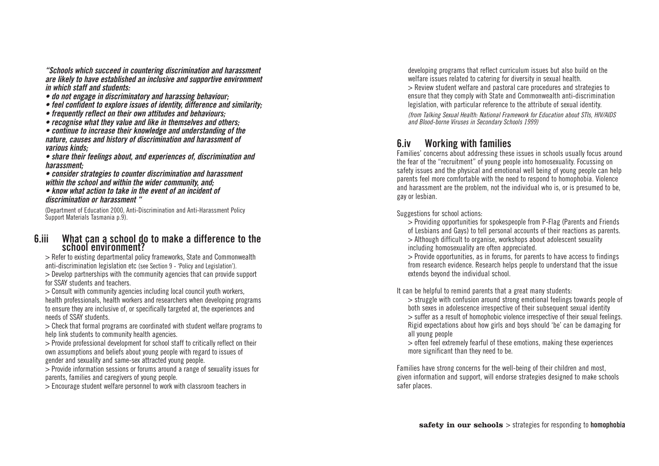*"Schools which succeed in countering discrimination and harassment are likely to have established an inclusive and supportive environment*

- 
- do not engage in discriminatory and harassing behaviour;<br>• feel confident to explore issues of identity, difference and similarity;<br>• frequently reflect on their own attitudes and behaviours;<br>• recognise what they value
- 
- 

• *continue to increase their knowledge and understanding of the nature, causes and history of discrimination and harassment of* 

*various kinds; • share their feelings about, and experiences of, discrimination and*

*harassment; • consider strategies to counter discrimination and harassment* 

*within the school and within the wider community, and; • know what action to take in the event of an incident of discrimination or harassment "*

(Department of Education 2000, Anti-Discrimination and Anti-Harassment Policy Support Materials Tasmania p.9).

#### **6.iii What can a school do to make a difference to the school environment?**

> Refer to existing departmental policy frameworks, State and Commonwealth anti-discrimination legislation etc (see Section 9 - 'Policy and Legislation').

> Develop partnerships with the community agencies that can provide support for SSAY students and teachers.<br>> Consult with community agencies including local council youth workers,

health professionals, health workers and researchers when developing programs to ensure they are inclusive of, or specifically targeted at, the experiences and needs of SSAY students.<br> $>$  Check that formal programs are coordinated with student welfare programs to

help link students to community health agencies.

> Provide professional development for school staff to critically reflect on their own assumptions and beliefs about young people with regard to issues of gender and sexuality and same-sex attracted young people.

> Provide information sessions or forums around a range of sexuality issues for parents, families and caregivers of young people.

> Encourage student welfare personnel to work with classroom teachers in

developing programs that reflect curriculum issues but also build on the welfare issues related to catering for diversity in sexual health. > Review student welfare and pastoral care procedures and strategies to ensure that they comply with State and Commonwealth anti-discrimination

legislation, with particular reference to the attribute of sexual identity. *(from Talking Sexual Health: National Framework for Education about STIs, HIV/AIDS and Blood-borne Viruses in Secondary Schools 1999)*

#### **6.iv Working with families**

Families' concerns about addressing these issues in schools usually focus around the fear of the "recruitment" of young people into homosexuality. Focussing on safety issues and the physical and emotional well being of young people can help parents feel more comfortable with the need to respond to homophobia. Violence and harassment ar e the problem, not the individual who is, or is presumed to be, gay or lesbian.

Suggestions for school actions:

> Providing opportunities for spokespeople from P-Flag (Parents and Friends of Lesbians and Gays) to tell personal accounts of their reactions as parents. > Although difficult to organise, workshops about adolescent sexuality including homosexuality ar e often appreciated.

> Provide opportunities, as in forums, for parents to have access to findings from research evidence. Research helps people to understand that the issue extends beyond the individual school.

It can be helpful to remind parents that a great many students:<br> $>$  struggle with confusion around strong emotional feelings towards people of both sexes in adolescence ir respective of their subsequent sexual identity > suffer as a result of homophobic violence irrespective of their sexual feelings. Rigid expectations about how girls and boys should 'be' can be damaging for all young people

> often feel extremely fearful of these emotions, making these experiences more significant than they need to be.

Families have strong concerns for the well-being of their children and most, given information and support, will endorse strategies designed to make schools safer places.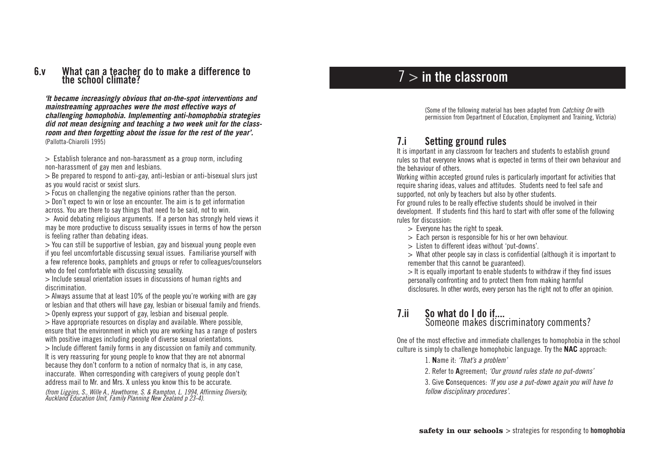#### **6.v What can a teacher do to make a difference to the school climate?**

*'It became increasingly obvious that on-the-spot interventions and mainstreaming approaches were the most effective ways of challenging homophobia. Implementing anti-homophobia strategies did not mean designing and teaching a two week unit for the classroom and then forgetting about the issue for the rest of the year'.* (Pallotta-Chiarolli 1995)

 $>$  Establish tolerance and non-harassment as a group norm, including non-harassment of gay men and lesbians.

 $>$  Be prepared to respond to anti-gay, anti-lesbian or anti-bisexual slurs just as you would racist or sexist slurs.

> Focus on challenging the negative opinions rather than the person.

 $>$  Don't expect to win or lose an encounter. The aim is to get information across. You are there to say things that need to be said, not to win.

 $>$  Avoid debating religious arguments. If a person has strongly held views it may be mor e productive to discuss sexuality issues in terms of how the person is feeling rather than debating ideas.

> You can still be supportive of lesbian, gay and bisexual young people even a few reference books, pamphlets and groups or refer to colleagues/counselors who do feel comfortable with discussing sexuality.

> Include sexual orientation issues in discussions of human rights and discrimination.

 $>$  Always assume that at least 10% of the people you're working with are gay or lesbian and that others will have gay, lesbian or bisexual family and friends.

> Openly express your support of gay, lesbian and bisexual people.

> Have appropriate resources on display and available. Where possible, ensur e that the environment in which you ar e working has a range of posters with positive images including people of diverse sexual orientations.

> Include different family forms in any discussion on family and community . It is very reassuring for young people to know that they are not abnormal because they don't conform to a notion of normalcy that is, in any case, inaccurate. When corresponding with caregivers of young people don't address mail to Mr. and Mrs. X unless you know this to be accurate.

*(from Liggins, S., Wille A., Hawthorne, S. & Rampton, L. 1994, Affirming Diversity, Auckland Education Unit, Family Planning New Zealand p 23-4).*

### 7 > **in the classroom**

(Some of the following material has been adapted from *Catching On* with permission from Department of Education, Employment and Training, Victoria)

### **7.i Setting ground rules**

It is important in any classroom for teachers and students to establish ground rules so that everyone knows what is expected in terms of their own behaviour and the behaviour of others.

Working within accepted ground rules is particularly important for activities that require sharing ideas, values and attitudes. Students need to feel safe and supported, not only by teachers but also by other students.

For ground rules to be really effective students should be involved in their development. If students find this hard to start with offer some of the following rules for discussion:

> Everyone has the right to speak.

> Each person is responsible for his or her own behaviour.

> Listen to different ideas without 'put-downs'.

> What other people say in class is confidential (although it is important to remember that this cannot be guaranteed).

 $>$  It is equally important to enable students to withdraw if they find issues personally confronting and to protect them from making harmful disclosures. In other words, every person has the right not to offer an opinion.

#### **7.ii So what do I do if....** Someone makes discriminatory comments?

One of the most effective and immediate challenges to homophobia in the school cultur e is simply to challenge homophobic language. Try the **NAC** approach:

- 1. **N**ame it: *'That's a problem'*
- 2. Refer to **A**greement; *'Our ground rules state no put-downs'*

3. Give **C**onsequences: *'If you use a put-down again you will have to follow disciplinary procedures'.*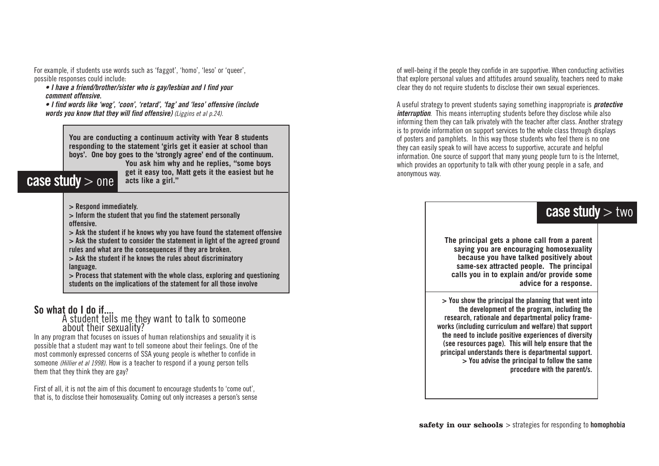For example, if students use words such as 'faggot', 'homo', 'leso' or 'queer', possible responses could include:

*• I have a friend/brother/sister who is gay/lesbian and I find your comment offensive.* 

*• I find words like 'wog', 'coon', 'retard', 'fag' and 'leso' offensive (include words you know that they will find offensive) (Liggins et al p.24).*

> **You are conducting a continuum activity with Year 8 students responding to the statement 'girls get it easier at school than boys'. One boy goes to the 'strongly agree' end of the continuum. You ask him why and he replies, "some boys**

> > **get it easy too, Matt gets it the easiest but he**

### **case study**  $>$  one

**> Respond immediately.**

**> Inform the student that you find the statement personally offensive.**

**acts like a girl."**

**> Ask the student if he knows why you have found the statement offensive > Ask the student to consider the statement in light of the agreed ground rules and what are the consequences if they are broken.**

**> Ask the student if he knows the rules about discriminatory language.**

**> Process that statement with the whole class, exploring and questioning students on the implications of the statement for all those involve**

#### **So what do I do if....**

A student tells me they want to talk to someone about their sexuality?

In any program that focuses on issues of human relationships and sexuality it is possible that a student may want to tell someone about their feelings. One of the most commonly expressed concerns of SSA young people is whether to confide in someone *(Hillier et al 1998)*. How is a teacher to respond if a young person tells them that they think they are gay?

First of all, it is not the aim of this document to encourage students to 'come out', that is, to disclose their homosexuality. Coming out only increases a person's sense

of well-being if the people they confide in are supportive. When conducting activities that explore personal values and attitudes around sexuality, teachers need to make clear they do not require students to disclose their own sexual experiences.

A useful strategy to prevent students saying something inappropriate is *protective interruption*. This means interrupting students before they disclose while also informing them they can talk privately with the teacher after class. Another strategy is to provide information on support services to the whole class through displays of posters and pamphlets. In this way those students who feel there is no one they can easily speak to will have access to supportive, accurate and helpful information. One source of support that many young people turn to is the Internet, which provides an opportunity to talk with other young people in a safe, and anonymous way.

### **case study** > two

**The principal gets a phone call from a parent saying you are encouraging homosexuality because you have talked positively about same-sex attracted people. The principal calls you in to explain and/or provide some advice for a response.**

**> You show the principal the planning that went into the development of the program, including the research, rationale and departmental policy frameworks (including curriculum and welfare) that support the need to include positive experiences of diversity (see resources page). This will help ensure that the principal understands there is departmental support. > You advise the principal to follow the same procedure with the parent/s.**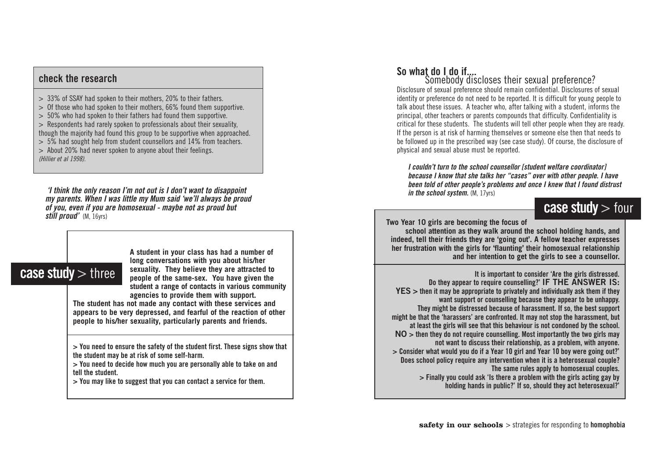#### **check the research**

> 33% of SSAY had spoken to their mothers, 20% to their fathers.

- > Of those who had spoken to their mothers, 66% found them supportive.
- > 50% who had spoken to their fathers had found them supportive.
- > Respondents had rarely spoken to professionals about their sexuality,
- though the majority had found this group to be supportive when approached.
- > 5% had sought help from student counsellors and 14% from teachers.
- > About 20% had never spoken to anyone about their feelings. *(Hillier et al 1998).*

*i* think the only reason I'm not out is I don't want to disappoint in the school system.  $(M, 17\text{ vs.})$  in the school system.  $(M, 17\text{ vs.})$ *my parents. When I was little my Mum said 'we'll always be proud of you, even if you are homosexual - maybe not as proud but still proud'* (M, 16yrs)

### **case study** > three

**A student in your class has had a number of long conversations with you about his/her sexuality. They believe they are attracted to people of the same-sex. You have given the student a range of contacts in various community agencies to provide them with support.** 

**The student has not made any contact with these services and appears to be very depressed, and fearful of the reaction of other people to his/her sexuality, particularly parents and friends.**

**> You need to ensure the safety of the student first. These signs show that the student may be at risk of some self-harm.**

**> You need to decide how much you are personally able to take on and tell the student.**

**> You may like to suggest that you can contact a service for them.**

### **So what do I do if....**

Somebody discloses their sexual preference? Disclosure of sexual preference should remain confidential. Disclosures of sexual identity or preference do not need to be reported. It is difficult for young people to talk about these issues. A teacher who, after talking with a student, informs the principal, other teachers or parents compounds that difficulty. Confidentiality is critical for these students. The students will tell other people when they are ready. If the person is at risk of harming themselves or someone else then that needs to be followed up in the prescribed way (see case study). Of course, the disclosure of physical and sexual abuse must be reported.

*I couldn't turn to the school counsellor [student welfare coordinator] because I know that she talks her "cases" over with other people. I have been told of other people's problems and once I knew that I found distrust*

### **case study** > four

**Two Year 10 girls are becoming the focus of**

**school attention as they walk around the school holding hands, and indeed, tell their friends they are 'going out'. A fellow teacher expresses her frustration with the girls for 'flaunting' their homosexual relationship and her intention to get the girls to see a counsellor.**

**It is important to consider 'Are the girls distressed. Do they appear to require counselling?' IF THE ANSWER IS: YES > then it may be appropriate to privately and individually ask them if they want support or counselling because they appear to be unhappy. They might be distressed because of harassment. If so, the best support might be that the 'harassers' are confronted. It may not stop the harassment, but at least the girls will see that this behaviour is not condoned by the school. NO > then they do not require counselling. Most importantly the two girls may not want to discuss their relationship, as a problem, with anyone. > Consider what would you do if a Year 10 girl and Year 10 boy were going out?' Does school policy require any intervention when it is a heterosexual couple? The same rules apply to homosexual couples. > Finally you could ask 'Is there a problem with the girls acting gay by holding hands in public?' If so, should they act heterosexual?'**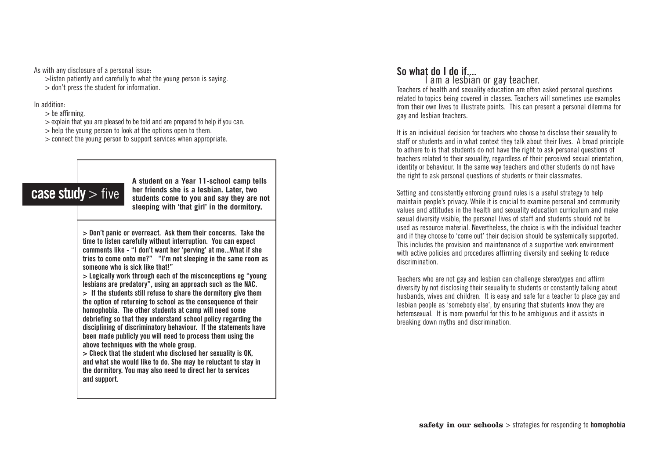As with any disclosure of a personal issue:

>listen patiently and carefully to what the young person is saying. > don't press the student for information.

In addition:<br> $>$  be affirming.

 $>$  explain that you are pleased to be told and are prepared to help if you can.  $>$  help the young person to look at the options open to them.

> connect the young person to support services when appropriate.

### **case study** > five

**A student on a Year 11-school camp tells her friends she is a lesbian. Later, two students come to you and say they are not sleeping with 'that girl' in the dormitory.**

**> Don' t panic or over react. Ask them their concerns. Take the time to listen carefully without inter ruption. You can expect comments like - "I don't want her 'perving' at me...What if she tries to come onto me?" "I'm not sleeping in the same room as someone who is sick like that!"**

**> Logically work through each of the misconceptions eg "young lesbians are predatory", using an approach such as the NAC. > If the students still refuse to share the dormitory give them**

**the option of returning to school as the consequence of their homophobia. The other students at camp will need some debriefing so that they understand school policy regarding the disciplining of discriminatory behaviour. If the statements have been made publicly you will need to process them using the above techniques with the whole group.**

**> Check that the student who disclosed her sexuality is OK, and what she would like to do. She may be reluctant to stay in the dormitory. You may also need to direct her to services and support.**

## **So what do I do if....**<br>I am a lesbian or gay teacher.

Teachers of health and sexuality education are often asked personal questions related to topics being covered in classes. Teachers will sometimes use examples from their own lives to illustrate points. This can present a personal dilemma for gay and lesbian teachers.

It is an individual decision for teachers who choose to disclose their sexuality to staff or students and in what context they talk about their lives. A broad principle to adhere to is that students do not have the right to ask personal questions of teachers related to their sexuality, regardless of their perceived sexual orientation, identity or behaviour. In the same way teachers and other students do not have the right to ask personal questions of students or their classmates.

Setting and consistently enforcing ground rules is a useful strategy to help maintain people's privacy. While it is crucial to examine personal and community values and attitudes in the health and sexuality education curriculum and make sexual diversity visible, the personal lives of staff and students should not be used as resource material. Nevertheless, the choice is with the individual teacher and if they choose to 'come out' their decision should be systemically supported. This includes the provision and maintenance of a supportive work environment with active policies and procedures affirming diversity and seeking to reduce discrimination.

Teachers who are not gay and lesbian can challenge stereotypes and affirm diversity by not disclosing their sexuality to students or constantly talking about husbands, wives and children. It is easy and safe for a teacher to place gay and lesbian people as 'somebody else', by ensuring that students know they are heterosexual. It is more powerful for this to be ambiguous and it assists in breaking down myths and discrimination.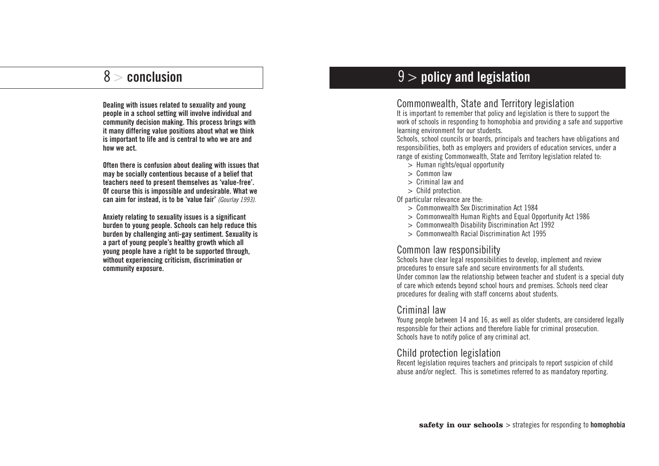**Dealing with issues related to sexuality and young people in a school setting will involve individual and community decision making. This process brings with it many differing value positions about what we think is important to life and is central to who we are and how we act.** 

**Often there is confusion about dealing with issues that may be socially contentious because of a belief that teachers need to present themselves as 'value-free'. Of course this is impossible and undesirable. What we can aim for instead, is to be 'value fair'** *(Gourlay 1993).*

**Anxiety relating to sexuality issues is a significant burden to young people. Schools can help reduce this burden by challenging anti-gay sentiment. Sexuality is a part of young people's healthy growth which all young people have a right to be supported through, without experiencing criticism, discrimination or community exposure.**

### 8 > **conclusion** 9 > **policy and legislation**

#### Commonwealth, State and Territory legislation

It is important to remember that policy and legislation is there to support the work of schools in responding to homophobia and providing a safe and supportive learning environment for our students.

Schools, school councils or boards, principals and teachers have obligations and responsibilities, both as employers and providers of education services, under a range of existing Commonwealth, State and Territory legislation related to:

- > Human rights/equal opportunity
- > Common law
- > Criminal law and
- > Child protection.

Of particular relevance are the:

- > Commonwealth Sex Discrimination Act 1984
- > Commonwealth Human Rights and Equal Opportunity Act 1986
- > Commonwealth Disability Discrimination Act 1992
- > Commonwealth Racial Discrimination Act 1995

#### Common law responsibility

Schools have clear legal responsibilities to develop, implement and review procedures to ensure safe and secure environments for all students. Under common law the relationship between teacher and student is a special duty of care which extends beyond school hours and premises. Schools need clear procedures for dealing with staff concerns about students.

#### Criminal law

Young people between 14 and 16, as well as older students, are considered legally responsible for their actions and therefore liable for criminal prosecution. Schools have to notify police of any criminal act.

#### Child protection legislation

Recent legislation requires teachers and principals to report suspicion of child abuse and/or neglect. This is sometimes referred to as mandatory reporting.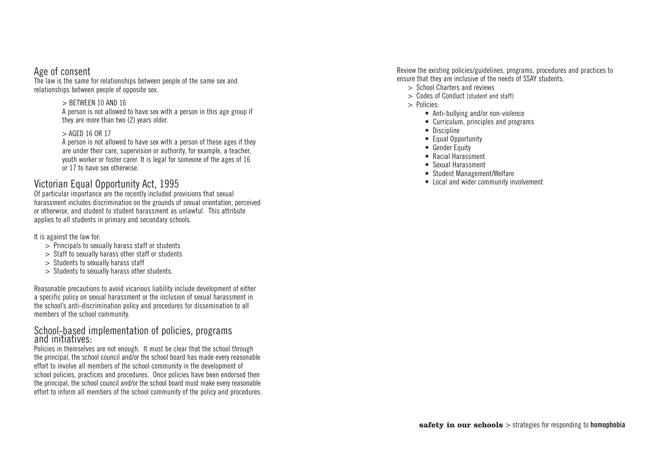#### Age of consent

The law is the same for relationships between people of the same sex and relationships between people of opposite sex.

#### $>$  BETWEEN 10 AND 16

A person is not allowed to have sex with a person in this age group if they are more than two (2) years older.

#### > AGED 16 OR 17

A person is not allowed to have sex with a person of these ages if they are under their care, supervision or authority, for example, a teacher, youth worker or foster carer. It is legal for someone of the ages of 16 or 17 to have sex otherwise.

#### Victorian Equal Opportunity Act, 1995

Of particular importance are the recently included provisions that sexual harassment includes discrimination on the grounds of sexual orientation, perceived or otherwise, and student to student harassment as unlawful. This attribute applies to all students in primary and secondary schools.

It is against the law for:

- > Principals to sexually harass staff or students
- > Staff to sexually harass other staff or students
- > Students to sexually harass staff
- > Students to sexually harass other students.

Reasonable precautions to avoid vicarious liability include development of either a specific policy on sexual harassment or the inclusion of sexual harassment in the school's anti-discrimination policy and procedures for dissemination to all members of the school community.

#### School-based implementation of policies, programs and initiatives:

Policies in themselves are not enough. It must be clear that the school through the principal, the school council and/or the school board has made every reasonable effort to involve all members of the school community in the development of school policies, practices and procedures. Once policies have been endorsed then the principal, the school council and/or the school board must make every reasonable effort to inform all members of the school community of the policy and procedures.

Review the existing policies/guidelines, programs, procedures and practices to ensure that they are inclusive of the needs of SSAY students.

- > School Charters and reviews
- > Codes of Conduct (student and staff)
- > Policies:
	- Anti-bullying and/or non-violence
	- Curriculum, principles and programs
	- Discipline
	- Equal Opportunity
	- Gender Fauity
	- Racial Harassment
	- Sexual Harassment
	- Student Management/Welfare
	- Local and wider community involvement